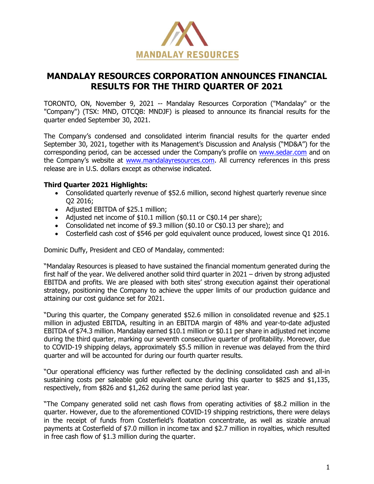

# **MANDALAY RESOURCES CORPORATION ANNOUNCES FINANCIAL RESULTS FOR THE THIRD QUARTER OF 2021**

TORONTO, ON, November 9, 2021 -- Mandalay Resources Corporation ("Mandalay" or the "Company") (TSX: MND, OTCQB: MNDJF) is pleased to announce its financial results for the quarter ended September 30, 2021.

The Company's condensed and consolidated interim financial results for the quarter ended September 30, 2021, together with its Management's Discussion and Analysis ("MD&A") for the corresponding period, can be accessed under the Company's profile on [www.sedar.com](http://www.sedar.com/) and on the Company's website at [www.mandalayresources.com.](http://www.mandalayresources.com/) All currency references in this press release are in U.S. dollars except as otherwise indicated.

## **Third Quarter 2021 Highlights:**

- Consolidated quarterly revenue of \$52.6 million, second highest quarterly revenue since Q2 2016;
- Adjusted EBITDA of \$25.1 million;
- Adjusted net income of \$10.1 million (\$0.11 or C\$0.14 per share);
- Consolidated net income of \$9.3 million (\$0.10 or C\$0.13 per share); and
- Costerfield cash cost of \$546 per gold equivalent ounce produced, lowest since Q1 2016.

Dominic Duffy, President and CEO of Mandalay, commented:

"Mandalay Resources is pleased to have sustained the financial momentum generated during the first half of the year. We delivered another solid third quarter in 2021 – driven by strong adjusted EBITDA and profits. We are pleased with both sites' strong execution against their operational strategy, positioning the Company to achieve the upper limits of our production guidance and attaining our cost guidance set for 2021.

"During this quarter, the Company generated \$52.6 million in consolidated revenue and \$25.1 million in adjusted EBITDA, resulting in an EBITDA margin of 48% and year-to-date adjusted EBITDA of \$74.3 million. Mandalay earned \$10.1 million or \$0.11 per share in adjusted net income during the third quarter, marking our seventh consecutive quarter of profitability. Moreover, due to COVID-19 shipping delays, approximately \$5.5 million in revenue was delayed from the third quarter and will be accounted for during our fourth quarter results.

"Our operational efficiency was further reflected by the declining consolidated cash and all-in sustaining costs per saleable gold equivalent ounce during this quarter to \$825 and \$1,135, respectively, from \$826 and \$1,262 during the same period last year.

"The Company generated solid net cash flows from operating activities of \$8.2 million in the quarter. However, due to the aforementioned COVID-19 shipping restrictions, there were delays in the receipt of funds from Costerfield's floatation concentrate, as well as sizable annual payments at Costerfield of \$7.0 million in income tax and \$2.7 million in royalties, which resulted in free cash flow of \$1.3 million during the quarter.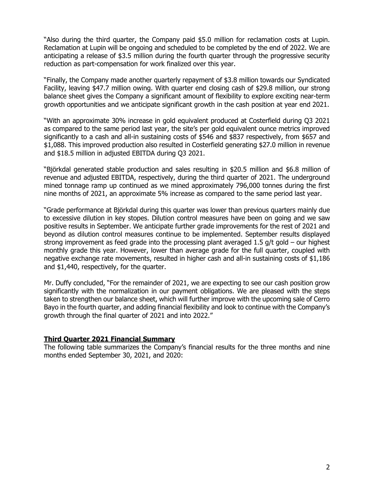"Also during the third quarter, the Company paid \$5.0 million for reclamation costs at Lupin. Reclamation at Lupin will be ongoing and scheduled to be completed by the end of 2022. We are anticipating a release of \$3.5 million during the fourth quarter through the progressive security reduction as part-compensation for work finalized over this year.

"Finally, the Company made another quarterly repayment of \$3.8 million towards our Syndicated Facility, leaving \$47.7 million owing. With quarter end closing cash of \$29.8 million, our strong balance sheet gives the Company a significant amount of flexibility to explore exciting near-term growth opportunities and we anticipate significant growth in the cash position at year end 2021.

"With an approximate 30% increase in gold equivalent produced at Costerfield during Q3 2021 as compared to the same period last year, the site's per gold equivalent ounce metrics improved significantly to a cash and all-in sustaining costs of \$546 and \$837 respectively, from \$657 and \$1,088. This improved production also resulted in Costerfield generating \$27.0 million in revenue and \$18.5 million in adjusted EBITDA during Q3 2021.

"Björkdal generated stable production and sales resulting in \$20.5 million and \$6.8 million of revenue and adjusted EBITDA, respectively, during the third quarter of 2021. The underground mined tonnage ramp up continued as we mined approximately 796,000 tonnes during the first nine months of 2021, an approximate 5% increase as compared to the same period last year.

"Grade performance at Björkdal during this quarter was lower than previous quarters mainly due to excessive dilution in key stopes. Dilution control measures have been on going and we saw positive results in September. We anticipate further grade improvements for the rest of 2021 and beyond as dilution control measures continue to be implemented. September results displayed strong improvement as feed grade into the processing plant averaged 1.5 g/t gold – our highest monthly grade this year. However, lower than average grade for the full quarter, coupled with negative exchange rate movements, resulted in higher cash and all-in sustaining costs of \$1,186 and \$1,440, respectively, for the quarter.

Mr. Duffy concluded, "For the remainder of 2021, we are expecting to see our cash position grow significantly with the normalization in our payment obligations. We are pleased with the steps taken to strengthen our balance sheet, which will further improve with the upcoming sale of Cerro Bayo in the fourth quarter, and adding financial flexibility and look to continue with the Company's growth through the final quarter of 2021 and into 2022."

# **Third Quarter 2021 Financial Summary**

The following table summarizes the Company's financial results for the three months and nine months ended September 30, 2021, and 2020: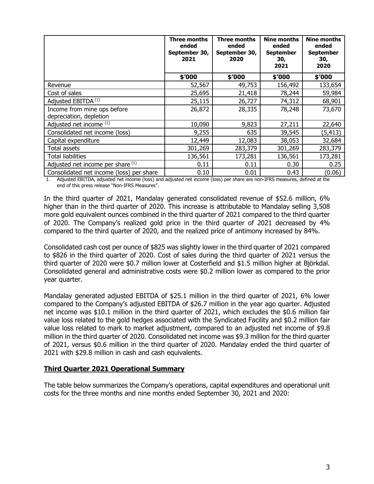|                                                        | Three months<br>ended<br>September 30,<br>2021 | Three months<br>ended<br>September 30,<br>2020 | Nine months<br>ended<br><b>September</b><br>30,<br>2021 | <b>Nine months</b><br>ended<br><b>September</b><br>30,<br>2020 |
|--------------------------------------------------------|------------------------------------------------|------------------------------------------------|---------------------------------------------------------|----------------------------------------------------------------|
|                                                        | \$'000                                         | \$'000                                         | \$'000                                                  | \$'000                                                         |
| Revenue                                                | 52,567                                         | 49,753                                         | 156,492                                                 | 133,654                                                        |
| Cost of sales                                          | 25,695                                         | 21,418                                         | 78,244                                                  | 59,984                                                         |
| Adjusted EBITDA <sup>(1)</sup>                         | 25,115                                         | 26,727                                         | 74,312                                                  | 68,901                                                         |
| Income from mine ops before<br>depreciation, depletion | 26,872                                         | 28,335                                         | 78,248                                                  | 73,670                                                         |
| Adjusted net income (1)                                | 10,090                                         | 9,823                                          | 27,211                                                  | 22,640                                                         |
| Consolidated net income (loss)                         | 9,255                                          | 635                                            | 39,545                                                  | (5, 413)                                                       |
| Capital expenditure                                    | 12,449                                         | 12,083                                         | 38,053                                                  | 32,684                                                         |
| Total assets                                           | 301,269                                        | 283,379                                        | 301,269                                                 | 283,379                                                        |
| <b>Total liabilities</b>                               | 136,561                                        | 173,281                                        | 136,561                                                 | 173,281                                                        |
| Adjusted net income per share (1)                      | 0.11                                           | 0.11                                           | 0.30                                                    | 0.25                                                           |
| Consolidated net income (loss) per share               | 0.10                                           | 0.01                                           | 0.43                                                    | (0.06)                                                         |

1. Adjusted EBITDA, adjusted net income (loss) and adjusted net income (loss) per share are non-IFRS measures, defined at the end of this press release "Non-IFRS Measures".

In the third quarter of 2021, Mandalay generated consolidated revenue of \$52.6 million, 6% higher than in the third quarter of 2020. This increase is attributable to Mandalay selling 3,508 more gold equivalent ounces combined in the third quarter of 2021 compared to the third quarter of 2020. The Company's realized gold price in the third quarter of 2021 decreased by 4% compared to the third quarter of 2020, and the realized price of antimony increased by 84%.

Consolidated cash cost per ounce of \$825 was slightly lower in the third quarter of 2021 compared to \$826 in the third quarter of 2020. Cost of sales during the third quarter of 2021 versus the third quarter of 2020 were \$0.7 million lower at Costerfield and \$1.5 million higher at Björkdal. Consolidated general and administrative costs were \$0.2 million lower as compared to the prior year quarter.

Mandalay generated adjusted EBITDA of \$25.1 million in the third quarter of 2021, 6% lower compared to the Company's adjusted EBITDA of \$26.7 million in the year ago quarter. Adjusted net income was \$10.1 million in the third quarter of 2021, which excludes the \$0.6 million fair value loss related to the gold hedges associated with the Syndicated Facility and \$0.2 million fair value loss related to mark to market adjustment, compared to an adjusted net income of \$9.8 million in the third quarter of 2020. Consolidated net income was \$9.3 million for the third quarter of 2021, versus \$0.6 million in the third quarter of 2020. Mandalay ended the third quarter of 2021 with \$29.8 million in cash and cash equivalents.

#### **Third Quarter 2021 Operational Summary**

The table below summarizes the Company's operations, capital expenditures and operational unit costs for the three months and nine months ended September 30, 2021 and 2020: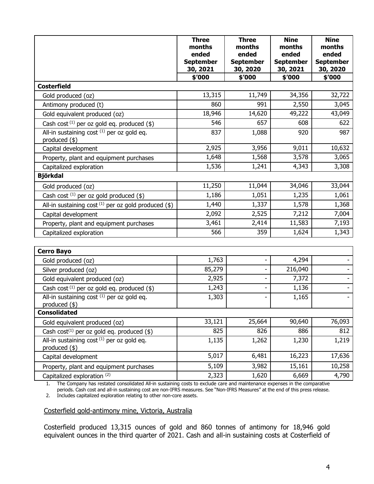|                                                                | <b>Three</b><br>months<br>ended<br><b>September</b><br>30, 2021 | <b>Three</b><br>months<br>ended<br><b>September</b><br>30, 2020 | <b>Nine</b><br>months<br>ended<br><b>September</b><br>30, 2021 | <b>Nine</b><br>months<br>ended<br><b>September</b><br>30, 2020 |
|----------------------------------------------------------------|-----------------------------------------------------------------|-----------------------------------------------------------------|----------------------------------------------------------------|----------------------------------------------------------------|
|                                                                | \$'000                                                          | \$'000                                                          | \$'000                                                         | \$'000                                                         |
| <b>Costerfield</b>                                             |                                                                 |                                                                 |                                                                |                                                                |
| Gold produced (oz)                                             | 13,315                                                          | 11,749                                                          | 34,356                                                         | 32,722                                                         |
| Antimony produced (t)                                          | 860                                                             | 991                                                             | 2,550                                                          | 3,045                                                          |
| Gold equivalent produced (oz)                                  | 18,946                                                          | 14,620                                                          | 49,222                                                         | 43,049                                                         |
| Cash cost $^{(1)}$ per oz gold eq. produced (\$)               | 546                                                             | 657                                                             | 608                                                            | 622                                                            |
| All-in sustaining cost (1) per oz gold eq.                     | 837                                                             | 1,088                                                           | 920                                                            | 987                                                            |
| produced $(*)$                                                 | 2,925                                                           | 3,956                                                           | 9,011                                                          | 10,632                                                         |
| Capital development                                            |                                                                 |                                                                 |                                                                |                                                                |
| Property, plant and equipment purchases                        | 1,648                                                           | 1,568                                                           | 3,578                                                          | 3,065                                                          |
| Capitalized exploration                                        | 1,536                                                           | 1,241                                                           | 4,343                                                          | 3,308                                                          |
| <b>Björkdal</b>                                                |                                                                 |                                                                 |                                                                |                                                                |
| Gold produced (oz)                                             | 11,250                                                          | 11,044                                                          | 34,046                                                         | 33,044                                                         |
| Cash cost $(1)$ per oz gold produced $(\$)$                    | 1,186                                                           | 1,051                                                           | 1,235                                                          | 1,061                                                          |
| All-in sustaining cost $(1)$ per oz gold produced (\$)         | 1,440                                                           | 1,337                                                           | 1,578                                                          | 1,368                                                          |
| Capital development                                            | 2,092                                                           | 2,525                                                           | 7,212                                                          | 7,004                                                          |
| Property, plant and equipment purchases                        | 3,461                                                           | 2,414                                                           | 11,583                                                         | 7,193                                                          |
| Capitalized exploration                                        | 566                                                             | 359                                                             | 1,624                                                          | 1,343                                                          |
|                                                                |                                                                 |                                                                 |                                                                |                                                                |
| <b>Cerro Bayo</b>                                              |                                                                 |                                                                 |                                                                |                                                                |
| Gold produced (oz)                                             | 1,763                                                           |                                                                 | 4,294                                                          |                                                                |
| Silver produced (oz)                                           | 85,279                                                          | $\overline{\phantom{0}}$                                        | 216,040                                                        |                                                                |
| Gold equivalent produced (oz)                                  | 2,925                                                           | -                                                               | 7,372                                                          |                                                                |
| Cash cost $^{(1)}$ per oz gold eq. produced (\$)               | 1,243                                                           | $\overline{\phantom{0}}$                                        | 1,136                                                          |                                                                |
| All-in sustaining cost $(1)$ per oz gold eq.<br>produced $(*)$ | 1,303                                                           |                                                                 | 1,165                                                          |                                                                |
| <b>Consolidated</b>                                            |                                                                 |                                                                 |                                                                |                                                                |
| Gold equivalent produced (oz)                                  | 33,121                                                          | 25,664                                                          | 90,640                                                         | 76,093                                                         |
| Cash cost <sup>(1)</sup> per oz gold eq. produced $(\$)$       | 825                                                             | 826                                                             | 886                                                            | 812                                                            |
| All-in sustaining cost (1) per oz gold eq.<br>produced $(*)$   | 1,135                                                           | 1,262                                                           | 1,230                                                          | 1,219                                                          |
| Capital development                                            | 5,017                                                           | 6,481                                                           | 16,223                                                         | 17,636                                                         |
| Property, plant and equipment purchases                        | 5,109                                                           | 3,982                                                           | 15,161                                                         | 10,258                                                         |
| Capitalized exploration (2)                                    | 2,323                                                           | 1,620                                                           | 6,669                                                          | 4,790                                                          |

1. The Company has restated consolidated All-in sustaining costs to exclude care and maintenance expenses in the comparative periods. Cash cost and all-in sustaining cost are non-IFRS measures. See "Non-IFRS Measures" at the end of this press release.

2. Includes capitalized exploration relating to other non-core assets.

## Costerfield gold-antimony mine, Victoria, Australia

Costerfield produced 13,315 ounces of gold and 860 tonnes of antimony for 18,946 gold equivalent ounces in the third quarter of 2021. Cash and all-in sustaining costs at Costerfield of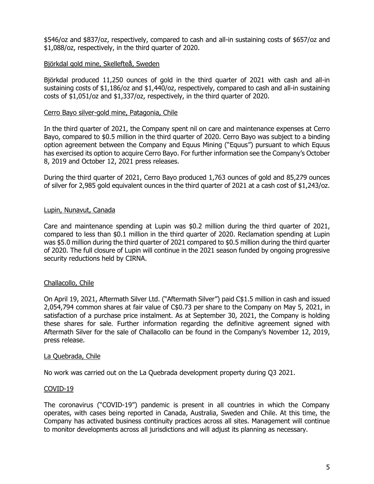\$546/oz and \$837/oz, respectively, compared to cash and all-in sustaining costs of \$657/oz and \$1,088/oz, respectively, in the third quarter of 2020.

#### Björkdal gold mine, Skellefteå, Sweden

Björkdal produced 11,250 ounces of gold in the third quarter of 2021 with cash and all-in sustaining costs of \$1,186/oz and \$1,440/oz, respectively, compared to cash and all-in sustaining costs of \$1,051/oz and \$1,337/oz, respectively, in the third quarter of 2020.

#### Cerro Bayo silver-gold mine, Patagonia, Chile

In the third quarter of 2021, the Company spent nil on care and maintenance expenses at Cerro Bayo, compared to \$0.5 million in the third quarter of 2020. Cerro Bayo was subject to a binding option agreement between the Company and Equus Mining ("Equus") pursuant to which Equus has exercised its option to acquire Cerro Bayo. For further information see the Company's October 8, 2019 and October 12, 2021 press releases.

During the third quarter of 2021, Cerro Bayo produced 1,763 ounces of gold and 85,279 ounces of silver for 2,985 gold equivalent ounces in the third quarter of 2021 at a cash cost of \$1,243/oz.

#### Lupin, Nunavut, Canada

Care and maintenance spending at Lupin was \$0.2 million during the third quarter of 2021, compared to less than \$0.1 million in the third quarter of 2020. Reclamation spending at Lupin was \$5.0 million during the third quarter of 2021 compared to \$0.5 million during the third quarter of 2020. The full closure of Lupin will continue in the 2021 season funded by ongoing progressive security reductions held by CIRNA.

#### Challacollo, Chile

On April 19, 2021, Aftermath Silver Ltd. ("Aftermath Silver") paid C\$1.5 million in cash and issued 2,054,794 common shares at fair value of C\$0.73 per share to the Company on May 5, 2021, in satisfaction of a purchase price instalment. As at September 30, 2021, the Company is holding these shares for sale. Further information regarding the definitive agreement signed with Aftermath Silver for the sale of Challacollo can be found in the Company's November 12, 2019, press release.

#### La Quebrada, Chile

No work was carried out on the La Quebrada development property during Q3 2021.

#### COVID-19

The coronavirus ("COVID-19") pandemic is present in all countries in which the Company operates, with cases being reported in Canada, Australia, Sweden and Chile. At this time, the Company has activated business continuity practices across all sites. Management will continue to monitor developments across all jurisdictions and will adjust its planning as necessary.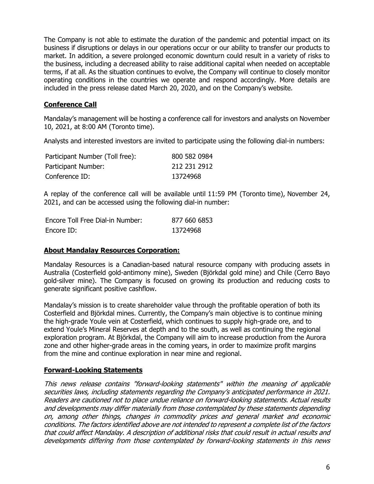The Company is not able to estimate the duration of the pandemic and potential impact on its business if disruptions or delays in our operations occur or our ability to transfer our products to market. In addition, a severe prolonged economic downturn could result in a variety of risks to the business, including a decreased ability to raise additional capital when needed on acceptable terms, if at all. As the situation continues to evolve, the Company will continue to closely monitor operating conditions in the countries we operate and respond accordingly. More details are included in the press release dated March 20, 2020, and on the Company's website.

# **Conference Call**

Mandalay's management will be hosting a conference call for investors and analysts on November 10, 2021, at 8:00 AM (Toronto time).

Analysts and interested investors are invited to participate using the following dial-in numbers:

| Participant Number (Toll free): | 800 582 0984 |
|---------------------------------|--------------|
| Participant Number:             | 212 231 2912 |
| Conference ID:                  | 13724968     |

A replay of the conference call will be available until 11:59 PM (Toronto time), November 24, 2021, and can be accessed using the following dial-in number:

| Encore Toll Free Dial-in Number: | 877 660 6853 |
|----------------------------------|--------------|
| Encore ID:                       | 13724968     |

#### **About Mandalay Resources Corporation:**

Mandalay Resources is a Canadian-based natural resource company with producing assets in Australia (Costerfield gold-antimony mine), Sweden (Björkdal gold mine) and Chile (Cerro Bayo gold-silver mine). The Company is focused on growing its production and reducing costs to generate significant positive cashflow.

Mandalay's mission is to create shareholder value through the profitable operation of both its Costerfield and Björkdal mines. Currently, the Company's main objective is to continue mining the high-grade Youle vein at Costerfield, which continues to supply high-grade ore, and to extend Youle's Mineral Reserves at depth and to the south, as well as continuing the regional exploration program. At Björkdal, the Company will aim to increase production from the Aurora zone and other higher-grade areas in the coming years, in order to maximize profit margins from the mine and continue exploration in near mine and regional.

#### **Forward-Looking Statements**

This news release contains "forward-looking statements" within the meaning of applicable securities laws, including statements regarding the Company's anticipated performance in 2021. Readers are cautioned not to place undue reliance on forward-looking statements. Actual results and developments may differ materially from those contemplated by these statements depending on, among other things, changes in commodity prices and general market and economic conditions. The factors identified above are not intended to represent a complete list of the factors that could affect Mandalay. A description of additional risks that could result in actual results and developments differing from those contemplated by forward-looking statements in this news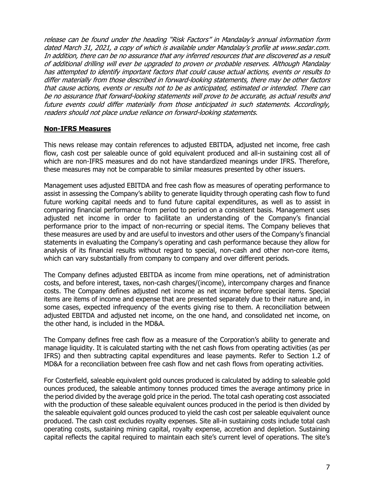release can be found under the heading "Risk Factors" in Mandalay's annual information form dated March 31, 2021, a copy of which is available under Mandalay's profile at www.sedar.com. In addition, there can be no assurance that any inferred resources that are discovered as a result of additional drilling will ever be upgraded to proven or probable reserves. Although Mandalay has attempted to identify important factors that could cause actual actions, events or results to differ materially from those described in forward-looking statements, there may be other factors that cause actions, events or results not to be as anticipated, estimated or intended. There can be no assurance that forward-looking statements will prove to be accurate, as actual results and future events could differ materially from those anticipated in such statements. Accordingly, readers should not place undue reliance on forward-looking statements.

## **Non-IFRS Measures**

This news release may contain references to adjusted EBITDA, adjusted net income, free cash flow, cash cost per saleable ounce of gold equivalent produced and all-in sustaining cost all of which are non-IFRS measures and do not have standardized meanings under IFRS. Therefore, these measures may not be comparable to similar measures presented by other issuers.

Management uses adjusted EBITDA and free cash flow as measures of operating performance to assist in assessing the Company's ability to generate liquidity through operating cash flow to fund future working capital needs and to fund future capital expenditures, as well as to assist in comparing financial performance from period to period on a consistent basis. Management uses adjusted net income in order to facilitate an understanding of the Company's financial performance prior to the impact of non-recurring or special items. The Company believes that these measures are used by and are useful to investors and other users of the Company's financial statements in evaluating the Company's operating and cash performance because they allow for analysis of its financial results without regard to special, non-cash and other non-core items, which can vary substantially from company to company and over different periods.

The Company defines adjusted EBITDA as income from mine operations, net of administration costs, and before interest, taxes, non-cash charges/(income), intercompany charges and finance costs. The Company defines adjusted net income as net income before special items. Special items are items of income and expense that are presented separately due to their nature and, in some cases, expected infrequency of the events giving rise to them. A reconciliation between adjusted EBITDA and adjusted net income, on the one hand, and consolidated net income, on the other hand, is included in the MD&A.

The Company defines free cash flow as a measure of the Corporation's ability to generate and manage liquidity. It is calculated starting with the net cash flows from operating activities (as per IFRS) and then subtracting capital expenditures and lease payments. Refer to Section 1.2 of MD&A for a reconciliation between free cash flow and net cash flows from operating activities.

For Costerfield, saleable equivalent gold ounces produced is calculated by adding to saleable gold ounces produced, the saleable antimony tonnes produced times the average antimony price in the period divided by the average gold price in the period. The total cash operating cost associated with the production of these saleable equivalent ounces produced in the period is then divided by the saleable equivalent gold ounces produced to yield the cash cost per saleable equivalent ounce produced. The cash cost excludes royalty expenses. Site all-in sustaining costs include total cash operating costs, sustaining mining capital, royalty expense, accretion and depletion. Sustaining capital reflects the capital required to maintain each site's current level of operations. The site's